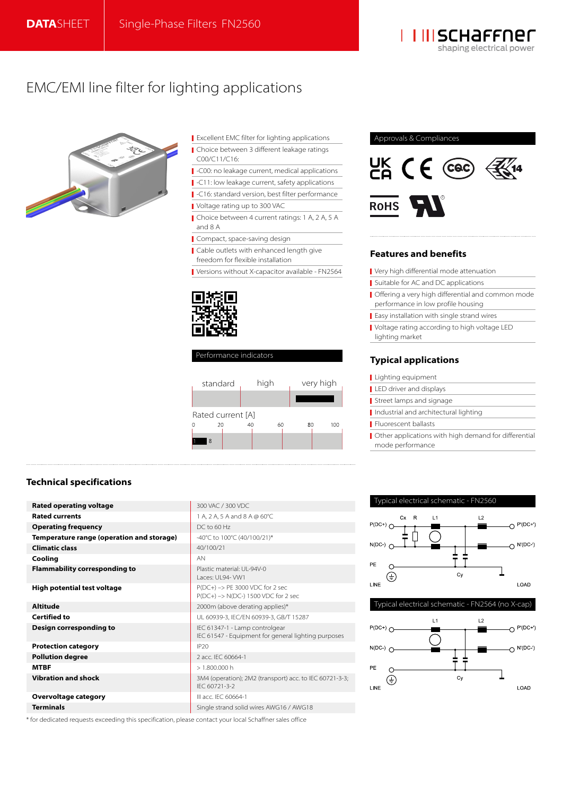

## EMC/EMI line filter for lighting applications



- **Excellent EMC filter for lighting applications** Choice between 3 different leakage ratings
- C00/C11/C16:
- **C00:** no leakage current, medical applications
- **C11:** low leakage current, safety applications
- **-C16: standard version, best filter performance** Voltage rating up to 300 VAC
- 
- Choice between 4 current ratings: 1 A, 2 A, 5 A and 8 A
- Compact, space-saving design
- Cable outlets with enhanced length give freedom for flexible installation

Versions without X-capacitor available - FN2564



Performance indicators

| standard          | high |    |    | very high |  |  |  |  |
|-------------------|------|----|----|-----------|--|--|--|--|
|                   |      |    |    |           |  |  |  |  |
| Rated current [A] |      |    |    |           |  |  |  |  |
| 20<br>Ω           | 40   | 60 | 80 | 10C       |  |  |  |  |
| 8                 |      |    |    |           |  |  |  |  |



## **Features and benefits**

- Very high differential mode attenuation
- Suitable for AC and DC applications
- Offering a very high differential and common mode performance in low profile housing
- Easy installation with single strand wires
- Voltage rating according to high voltage LED lighting market

## **Typical applications**

- Lighting equipment
- **LED** driver and displays
- Street lamps and signage
- I Industrial and architectural lighting
- **Fluorescent ballasts**
- Other applications with high demand for differential mode performance

## **Technical specifications**

| Rated operating voltage                   | 300 VAC / 300 VDC                                                                     |  |  |  |  |
|-------------------------------------------|---------------------------------------------------------------------------------------|--|--|--|--|
| <b>Rated currents</b>                     | 1 A, 2 A, 5 A and 8 A @ 60°C                                                          |  |  |  |  |
| <b>Operating frequency</b>                | DC to 60 Hz                                                                           |  |  |  |  |
| Temperature range (operation and storage) | -40°C to 100°C (40/100/21)*                                                           |  |  |  |  |
| <b>Climatic class</b>                     | 40/100/21                                                                             |  |  |  |  |
| Cooling                                   | AN                                                                                    |  |  |  |  |
| <b>Flammability corresponding to</b>      | Plastic material: UL-94V-0<br>Laces: UL94-VW1                                         |  |  |  |  |
| <b>High potential test voltage</b>        | P(DC+) -> PE 3000 VDC for 2 sec<br>P(DC+) -> N(DC-) 1500 VDC for 2 sec                |  |  |  |  |
| Altitude                                  | 2000m (above derating applies)*                                                       |  |  |  |  |
| <b>Certified to</b>                       | UL 60939-3, IEC/EN 60939-3, GB/T 15287                                                |  |  |  |  |
| Design corresponding to                   | IEC 61347-1 - Lamp controlgear<br>IEC 61547 - Equipment for general lighting purposes |  |  |  |  |
| <b>Protection category</b>                | IP <sub>20</sub>                                                                      |  |  |  |  |
| <b>Pollution degree</b>                   | 2 acc. IEC 60664-1                                                                    |  |  |  |  |
| <b>MTBF</b>                               | >1.800.000h                                                                           |  |  |  |  |
| <b>Vibration and shock</b>                | 3M4 (operation); 2M2 (transport) acc. to IEC 60721-3-3;<br>IFC 60721-3-2              |  |  |  |  |
| Overvoltage category                      | III acc. IEC 60664-1                                                                  |  |  |  |  |
| <b>Terminals</b>                          | Single strand solid wires AWG16 / AWG18                                               |  |  |  |  |

Typical electrical schematic - FN2560  $\overline{c}$ L1 L2  $O^{P(DC+)}$  $P(DC+)$  $N(DC-)$  $O^{N(DC)}$ PF  $Cy$ ⊕ LINE LOAD

#### Typical electrical schematic - FN2564 (no X-cap)



\* for dedicated requests exceeding this specification, please contact your local Schaffner sales office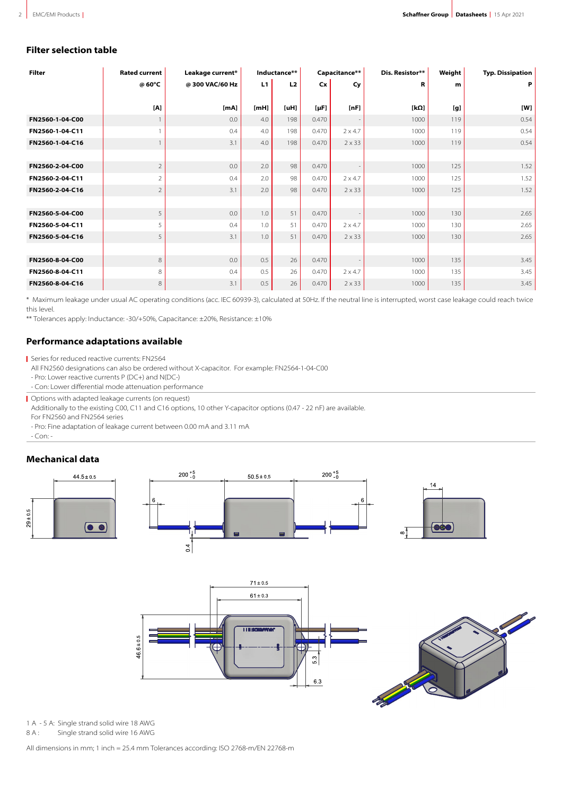## **Filter selection table**

| <b>Filter</b>   | <b>Rated current</b>     | Leakage current* | Capacitance**<br>Inductance** |      | Dis. Resistor** | Weight         | <b>Typ. Dissipation</b> |     |      |
|-----------------|--------------------------|------------------|-------------------------------|------|-----------------|----------------|-------------------------|-----|------|
|                 | @ 60°C                   | @300 VAC/60 Hz   | L1                            | L2   | Cx              | Cy             | R                       | m   | P.   |
|                 |                          |                  |                               |      |                 |                |                         |     |      |
|                 | [A]                      | [mA]             | [ <b>mH</b> ]                 | [uH] | $[\mu F]$       | [nF]           | [kΩ]                    | [g] | [W]  |
| FN2560-1-04-C00 |                          | 0.0              | 4.0                           | 198  | 0.470           |                | 1000                    | 119 | 0.54 |
| FN2560-1-04-C11 |                          | 0.4              | 4.0                           | 198  | 0.470           | $2 \times 4.7$ | 1000                    | 119 | 0.54 |
| FN2560-1-04-C16 |                          | 3.1              | 4.0                           | 198  | 0.470           | $2 \times 33$  | 1000                    | 119 | 0.54 |
|                 |                          |                  |                               |      |                 |                |                         |     |      |
| FN2560-2-04-C00 | $\overline{\phantom{a}}$ | 0.0              | 2.0                           | 98   | 0.470           |                | 1000                    | 125 | 1.52 |
| FN2560-2-04-C11 | $\overline{\phantom{a}}$ | 0.4              | 2.0                           | 98   | 0.470           | $2 \times 4.7$ | 1000                    | 125 | 1.52 |
| FN2560-2-04-C16 | $\overline{2}$           | 3.1              | 2.0                           | 98   | 0.470           | $2 \times 33$  | 1000                    | 125 | 1.52 |
|                 |                          |                  |                               |      |                 |                |                         |     |      |
| FN2560-5-04-C00 | 5                        | 0.0              | 1.0                           | 51   | 0.470           |                | 1000                    | 130 | 2.65 |
| FN2560-5-04-C11 | 5                        | 0.4              | 1.0                           | 51   | 0.470           | $2 \times 4.7$ | 1000                    | 130 | 2.65 |
| FN2560-5-04-C16 | 5                        | 3.1              | 1.0                           | 51   | 0.470           | $2 \times 33$  | 1000                    | 130 | 2.65 |
|                 |                          |                  |                               |      |                 |                |                         |     |      |
| FN2560-8-04-C00 | 8                        | 0.0              | 0.5                           | 26   | 0.470           |                | 1000                    | 135 | 3.45 |
| FN2560-8-04-C11 | 8                        | 0.4              | 0.5                           | 26   | 0.470           | $2 \times 4.7$ | 1000                    | 135 | 3.45 |
| FN2560-8-04-C16 | 8                        | 3.1              | 0.5                           | 26   | 0.470           | $2 \times 33$  | 1000                    | 135 | 3.45 |

\* Maximum leakage under usual AC operating conditions (acc. IEC 60939-3), calculated at 50Hz. If the neutral line is interrupted, worst case leakage could reach twice this level.

\*\* Tolerances apply: Inductance: -30/+50%, Capacitance: ±20%, Resistance: ±10%

## **Performance adaptations available**

**I** Series for reduced reactive currents: FN2564

All FN2560 designations can also be ordered without X-capacitor. For example: FN2564-1-04-C00

- Pro: Lower reactive currents P (DC+) and N(DC-)

- Con: Lower differential mode attenuation performance

Options with adapted leakage currents (on request)

Additionally to the existing C00, C11 and C16 options, 10 other Y-capacitor options (0.47 - 22 nF) are available.

For FN2560 and FN2564 series

- Pro: Fine adaptation of leakage current between 0.00 mA and 3.11 mA

- Con: -

## **Mechanical data**



 $53$ 

6.3

1 A - 5 A: Single strand solid wire 18 AWG

8 A : Single strand solid wire 16 AWG

All dimensions in mm; 1 inch = 25.4 mm Tolerances according: ISO 2768-m/EN 22768-m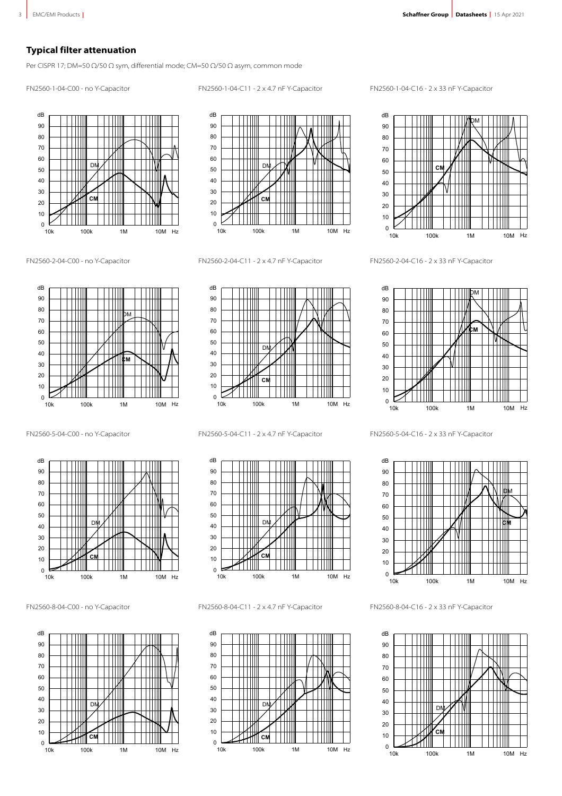## **Typical filter attenuation**

Per CISPR 17; DM=50 Ω/50 Ω sym, differential mode; CM=50 Ω/50 Ω asym, common mode

FN2560-1-04-C00 - no Y-Capacitor

FN2560-2-04-C00 - no Y-Capacitor

FN2560-1-04-C11 - 2 x 4.7 nF Y-Capacitor

FN2560-1-04-C16 - 2 x 33 nF Y-Capacitor





FN2560-2-04-C11 - 2 x 4.7 nF Y-Capacitor

 $\alpha$ dB



FN2560-2-04-C16 - 2 x 33 nF Y-Capacitor



FN2560-5-04-C00 - no Y-Capacitor



FN2560-8-04-C00 - no Y-Capacitor





TTI

FN2560-5-04-C11 - 2 x 4.7 nF Y-Capacitor



FN2560-8-04-C11 - 2 x 4.7 nF Y-Capacitor





FN2560-5-04-C16 - 2 x 33 nF Y-Capacitor



FN2560-8-04-C16 - 2 x 33 nF Y-Capacitor